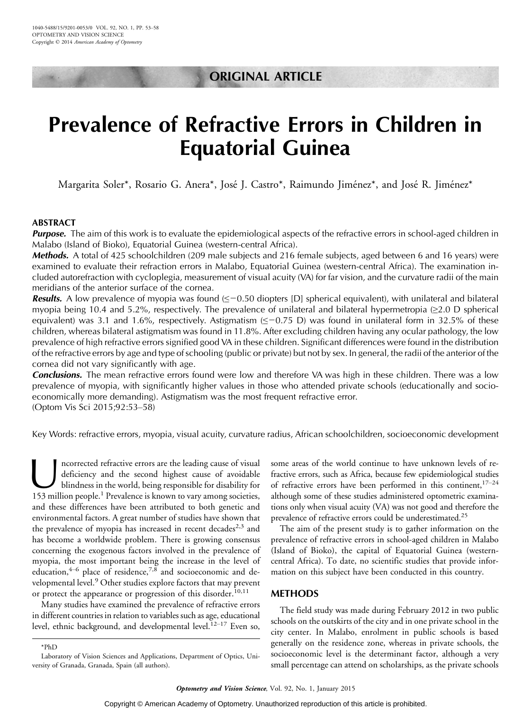## ORIGINAL ARTICLE

# Prevalence of Refractive Errors in Children in Equatorial Guinea

Margarita Soler\*, Rosario G. Anera\*, José J. Castro\*, Raimundo Jiménez\*, and José R. Jiménez\*

## ABSTRACT

**Purpose.** The aim of this work is to evaluate the epidemiological aspects of the refractive errors in school-aged children in Malabo (Island of Bioko), Equatorial Guinea (western-central Africa).

Methods. A total of 425 schoolchildren (209 male subjects and 216 female subjects, aged between 6 and 16 years) were examined to evaluate their refraction errors in Malabo, Equatorial Guinea (western-central Africa). The examination included autorefraction with cycloplegia, measurement of visual acuity (VA) for far vision, and the curvature radii of the main meridians of the anterior surface of the cornea.

**Results.** A low prevalence of myopia was found  $\leq$  -0.50 diopters [D] spherical equivalent), with unilateral and bilateral myopia being 10.4 and 5.2%, respectively. The prevalence of unilateral and bilateral hypermetropia  $(\geq 2.0 \text{ D spherical})$ equivalent) was 3.1 and 1.6%, respectively. Astigmatism  $(\leq -0.75 \text{ D})$  was found in unilateral form in 32.5% of these children, whereas bilateral astigmatism was found in 11.8%. After excluding children having any ocular pathology, the low prevalence of high refractive errors signified good VA in these children. Significant differences were found in the distribution of the refractive errors by age and type of schooling (public or private) but not by sex. In general, the radii of the anterior of the cornea did not vary significantly with age.

**Conclusions.** The mean refractive errors found were low and therefore VA was high in these children. There was a low prevalence of myopia, with significantly higher values in those who attended private schools (educationally and socioeconomically more demanding). Astigmatism was the most frequent refractive error. (Optom Vis Sci 2015;92:53-58)

Key Words: refractive errors, myopia, visual acuity, curvature radius, African schoolchildren, socioeconomic development

ncorrected refractive errors are the leading cause of visual<br>deficiency and the second highest cause of avoidable<br>blindness in the world, being responsible for disability for<br>153 million people<sup>1</sup> Prevalence is known to va deficiency and the second highest cause of avoidable blindness in the world, being responsible for disability for 153 million people.<sup>1</sup> Prevalence is known to vary among societies, and these differences have been attributed to both genetic and environmental factors. A great number of studies have shown that the prevalence of myopia has increased in recent decades<sup>2,3</sup> and has become a worldwide problem. There is growing consensus concerning the exogenous factors involved in the prevalence of myopia, the most important being the increase in the level of education,  $4-6$  place of residence,  $7,8$  and socioeconomic and developmental level.<sup>9</sup> Other studies explore factors that may prevent or protect the appearance or progression of this disorder.<sup>10,11</sup>

Many studies have examined the prevalence of refractive errors in different countries in relation to variables such as age, educational level, ethnic background, and developmental level.<sup>12-17</sup> Even so, some areas of the world continue to have unknown levels of refractive errors, such as Africa, because few epidemiological studies of refractive errors have been performed in this continent,  $17-24$ although some of these studies administered optometric examinations only when visual acuity (VA) was not good and therefore the prevalence of refractive errors could be underestimated.25

The aim of the present study is to gather information on the prevalence of refractive errors in school-aged children in Malabo (Island of Bioko), the capital of Equatorial Guinea (westerncentral Africa). To date, no scientific studies that provide information on this subject have been conducted in this country.

## METHODS

The field study was made during February 2012 in two public schools on the outskirts of the city and in one private school in the city center. In Malabo, enrolment in public schools is based generally on the residence zone, whereas in private schools, the socioeconomic level is the determinant factor, although a very small percentage can attend on scholarships, as the private schools

<sup>\*</sup>PhD

Laboratory of Vision Sciences and Applications, Department of Optics, University of Granada, Granada, Spain (all authors).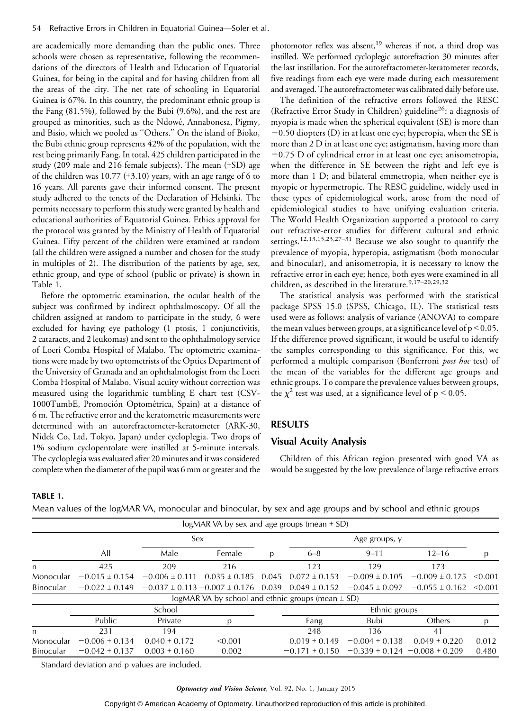are academically more demanding than the public ones. Three schools were chosen as representative, following the recommendations of the directors of Health and Education of Equatorial Guinea, for being in the capital and for having children from all the areas of the city. The net rate of schooling in Equatorial Guinea is 67%. In this country, the predominant ethnic group is the Fang (81.5%), followed by the Bubi (9.6%), and the rest are grouped as minorities, such as the Ndowé, Annabonesa, Pigmy, and Bisio, which we pooled as ''Others.'' On the island of Bioko, the Bubi ethnic group represents 42% of the population, with the rest being primarily Fang. In total, 425 children participated in the study (209 male and 216 female subjects). The mean  $(\pm SD)$  age of the children was 10.77 ( $\pm$ 3.10) years, with an age range of 6 to 16 years. All parents gave their informed consent. The present study adhered to the tenets of the Declaration of Helsinki. The permits necessary to perform this study were granted by health and educational authorities of Equatorial Guinea. Ethics approval for the protocol was granted by the Ministry of Health of Equatorial Guinea. Fifty percent of the children were examined at random (all the children were assigned a number and chosen for the study in multiples of 2). The distribution of the patients by age, sex, ethnic group, and type of school (public or private) is shown in Table 1.

Before the optometric examination, the ocular health of the subject was confirmed by indirect ophthalmoscopy. Of all the children assigned at random to participate in the study, 6 were excluded for having eye pathology (1 ptosis, 1 conjunctivitis, 2 cataracts, and 2 leukomas) and sent to the ophthalmology service of Loeri Comba Hospital of Malabo. The optometric examinations were made by two optometrists of the Optics Department of the University of Granada and an ophthalmologist from the Loeri Comba Hospital of Malabo. Visual acuity without correction was measured using the logarithmic tumbling E chart test (CSV-1000TumbE, Promoción Optométrica, Spain) at a distance of 6 m. The refractive error and the keratometric measurements were determined with an autorefractometer-keratometer (ARK-30, Nidek Co, Ltd, Tokyo, Japan) under cycloplegia. Two drops of 1% sodium cyclopentolate were instilled at 5-minute intervals. The cycloplegia was evaluated after 20 minutes and it was considered complete when the diameter of the pupil was 6 mm or greater and the

photomotor reflex was absent,<sup>19</sup> whereas if not, a third drop was instilled. We performed cycloplegic autorefraction 30 minutes after the last instillation. For the autorefractometer-keratometer records, five readings from each eye were made during each measurement and averaged. The autorefractometer was calibrated daily before use.

The definition of the refractive errors followed the RESC (Refractive Error Study in Children) guideline<sup>26</sup>: a diagnosis of myopia is made when the spherical equivalent (SE) is more than  $-0.50$  diopters (D) in at least one eye; hyperopia, when the SE is more than 2 D in at least one eye; astigmatism, having more than  $-0.75$  D of cylindrical error in at least one eye; anisometropia, when the difference in SE between the right and left eye is more than 1 D; and bilateral emmetropia, when neither eye is myopic or hypermetropic. The RESC guideline, widely used in these types of epidemiological work, arose from the need of epidemiological studies to have unifying evaluation criteria. The World Health Organization supported a protocol to carry out refractive-error studies for different cultural and ethnic settings.<sup>12,13,15,23,27-31</sup> Because we also sought to quantify the prevalence of myopia, hyperopia, astigmatism (both monocular and binocular), and anisometropia, it is necessary to know the refractive error in each eye; hence, both eyes were examined in all children, as described in the literature.<sup>9,17-20,29,32</sup>

The statistical analysis was performed with the statistical package SPSS 15.0 (SPSS, Chicago, IL). The statistical tests used were as follows: analysis of variance (ANOVA) to compare the mean values between groups, at a significance level of  $p < 0.05$ . If the difference proved significant, it would be useful to identify the samples corresponding to this significance. For this, we performed a multiple comparison (Bonferroni post hoc test) of the mean of the variables for the different age groups and ethnic groups. To compare the prevalence values between groups, the  $\chi^2$  test was used, at a significance level of p < 0.05.

## RESULTS

#### Visual Acuity Analysis

Children of this African region presented with good VA as would be suggested by the low prevalence of large refractive errors

#### TABLE 1.

Mean values of the logMAR VA, monocular and binocular, by sex and age groups and by school and ethnic groups

|                  |                    |                                      | logMAR VA by sex and age groups (mean $\pm$ SD)       |       |                    |                                      |                    |         |  |  |
|------------------|--------------------|--------------------------------------|-------------------------------------------------------|-------|--------------------|--------------------------------------|--------------------|---------|--|--|
|                  |                    | Sex                                  |                                                       |       | Age groups, y      |                                      |                    |         |  |  |
|                  | All                | Male                                 | Female                                                | p     | $6 - 8$            | $9 - 11$                             | $12 - 16$          | p       |  |  |
| n                | 425                | 209                                  | 216                                                   |       | 123                | 129                                  | 173                |         |  |  |
| Monocular        | $-0.015 \pm 0.154$ | $-0.006 \pm 0.111$                   | $0.035 \pm 0.185$                                     | 0.045 | $0.072 \pm 0.153$  | $-0.009 \pm 0.105$                   | $-0.009 \pm 0.175$ | < 0.001 |  |  |
| <b>Binocular</b> | $-0.022 \pm 0.149$ | $-0.037 \pm 0.113 - 0.007 \pm 0.176$ |                                                       | 0.039 | $0.049 \pm 0.152$  | $-0.045 \pm 0.097$                   | $-0.055 \pm 0.162$ | < 0.001 |  |  |
|                  |                    |                                      | logMAR VA by school and ethnic groups (mean $\pm$ SD) |       |                    |                                      |                    |         |  |  |
|                  |                    | School                               |                                                       |       |                    | Ethnic groups                        |                    |         |  |  |
|                  | Public             | Private                              | n                                                     |       | Fang               | <b>Bubi</b>                          | Others             | p       |  |  |
| n                | 231                | 194                                  |                                                       |       | 248                | 136                                  | 41                 |         |  |  |
| Monocular        | $-0.006 \pm 0.134$ | $0.040 \pm 0.172$                    | < 0.001                                               |       | $0.019 \pm 0.149$  | $-0.004 \pm 0.138$                   | $0.049 \pm 0.220$  | 0.012   |  |  |
| <b>Binocular</b> | $-0.042 \pm 0.137$ | $0.003 \pm 0.160$                    | 0.002                                                 |       | $-0.171 \pm 0.150$ | $-0.339 \pm 0.124 - 0.008 \pm 0.209$ |                    | 0.480   |  |  |

Standard deviation and p values are included.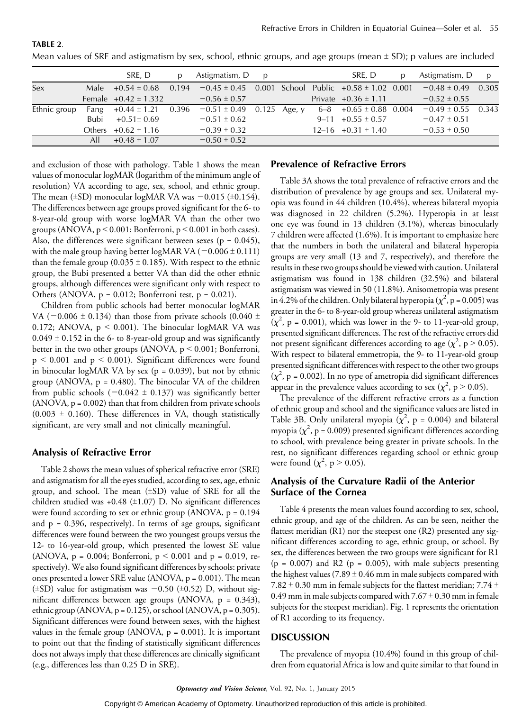|              |      | SRE, D                   |       | Astigmatism, D                                              | $\mathbf{D}$ |        | SRE. D                   | Astigmatism, D         | $\mathbf{D}$ |
|--------------|------|--------------------------|-------|-------------------------------------------------------------|--------------|--------|--------------------------|------------------------|--------------|
| Sex          |      | Male $+0.54 \pm 0.68$    | 0.194 | $-0.45 \pm 0.45$ 0.001 School Public $+0.58 \pm 1.02$ 0.001 |              |        |                          | $-0.48 \pm 0.49$ 0.305 |              |
|              |      | Female $+0.42 \pm 1.332$ |       | $-0.56 \pm 0.57$                                            |              |        | Private $+0.36 \pm 1.11$ | $-0.52 \pm 0.55$       |              |
| Ethnic group | Fang | $+0.44 \pm 1.21$ 0.396   |       | $-0.51 \pm 0.49$                                            | 0.125        | Age, y | $6-8$ +0.65 ± 0.88 0.004 | $-0.49 \pm 0.55$ 0.343 |              |
|              | Bubi | $+0.51 \pm 0.69$         |       | $-0.51 \pm 0.62$                                            |              |        | $9-11$ +0.55 ± 0.57      | $-0.47 \pm 0.51$       |              |
|              |      | Others $+0.62 \pm 1.16$  |       | $-0.39 \pm 0.32$                                            |              |        | $12-16$ +0.31 $\pm$ 1.40 | $-0.53 \pm 0.50$       |              |
|              | All  | $+0.48 \pm 1.07$         |       | $-0.50 \pm 0.52$                                            |              |        |                          |                        |              |

Mean values of SRE and astigmatism by sex, school, ethnic groups, and age groups (mean  $\pm$  SD); p values are included

and exclusion of those with pathology. Table 1 shows the mean values of monocular logMAR (logarithm of the minimum angle of resolution) VA according to age, sex, school, and ethnic group. The mean  $(\pm SD)$  monocular logMAR VA was  $-0.015$  ( $\pm 0.154$ ). The differences between age groups proved significant for the 6- to 8-year-old group with worse logMAR VA than the other two groups (ANOVA,  $p < 0.001$ ; Bonferroni,  $p < 0.001$  in both cases). Also, the differences were significant between sexes ( $p = 0.045$ ), with the male group having better logMAR VA  $(-0.006 \pm 0.111)$ than the female group (0.035  $\pm$  0.185). With respect to the ethnic group, the Bubi presented a better VA than did the other ethnic groups, although differences were significant only with respect to Others (ANOVA,  $p = 0.012$ ; Bonferroni test,  $p = 0.021$ ).

Children from public schools had better monocular logMAR VA ( $-0.006 \pm 0.134$ ) than those from private schools (0.040  $\pm$ 0.172; ANOVA,  $p < 0.001$ ). The binocular logMAR VA was  $0.049 \pm 0.152$  in the 6- to 8-year-old group and was significantly better in the two other groups (ANOVA,  $p < 0.001$ ; Bonferroni,  $p \le 0.001$  and  $p \le 0.001$ ). Significant differences were found in binocular logMAR VA by sex ( $p = 0.039$ ), but not by ethnic group (ANOVA,  $p = 0.480$ ). The binocular VA of the children from public schools  $(-0.042 \pm 0.137)$  was significantly better  $(ANOVA, p = 0.002)$  than that from children from private schools  $(0.003 \pm 0.160)$ . These differences in VA, though statistically significant, are very small and not clinically meaningful.

## Analysis of Refractive Error

TABLE 2.

Table 2 shows the mean values of spherical refractive error (SRE) and astigmatism for all the eyes studied, according to sex, age, ethnic group, and school. The mean  $(\pm SD)$  value of SRE for all the children studied was +0.48 ( $\pm$ 1.07) D. No significant differences were found according to sex or ethnic group (ANOVA,  $p = 0.194$ ) and  $p = 0.396$ , respectively). In terms of age groups, significant differences were found between the two youngest groups versus the 12- to 16-year-old group, which presented the lowest SE value (ANOVA,  $p = 0.004$ ; Bonferroni,  $p \le 0.001$  and  $p = 0.019$ , respectively). We also found significant differences by schools: private ones presented a lower SRE value (ANOVA, p = 0.001). The mean ( $\pm$ SD) value for astigmatism was  $-0.50$  ( $\pm$ 0.52) D, without significant differences between age groups (ANOVA, p = 0.343), ethnic group (ANOVA,  $p = 0.125$ ), or school (ANOVA,  $p = 0.305$ ). Significant differences were found between sexes, with the highest values in the female group (ANOVA,  $p = 0.001$ ). It is important to point out that the finding of statistically significant differences does not always imply that these differences are clinically significant (e.g., differences less than 0.25 D in SRE).

## Prevalence of Refractive Errors

Table 3A shows the total prevalence of refractive errors and the distribution of prevalence by age groups and sex. Unilateral myopia was found in 44 children (10.4%), whereas bilateral myopia was diagnosed in 22 children (5.2%). Hyperopia in at least one eye was found in 13 children (3.1%), whereas binocularly 7 children were affected (1.6%). It is important to emphasize here that the numbers in both the unilateral and bilateral hyperopia groups are very small (13 and 7, respectively), and therefore the results in these two groups should be viewed with caution. Unilateral astigmatism was found in 138 children (32.5%) and bilateral astigmatism was viewed in 50 (11.8%). Anisometropia was present in 4.2% of the children. Only bilateral hyperopia ( $\chi^2$ , p = 0.005) was greater in the 6- to 8-year-old group whereas unilateral astigmatism  $(\chi^2$ , p = 0.001), which was lower in the 9- to 11-year-old group, presented significant differences. The rest of the refractive errors did not present significant differences according to age ( $\chi^2$ , p > 0.05). With respect to bilateral emmetropia, the 9- to 11-year-old group presented significant differences with respect to the other two groups  $(\chi^2$ , p = 0.002). In no type of ametropia did significant differences appear in the prevalence values according to sex ( $\chi^2$ , p > 0.05).

The prevalence of the different refractive errors as a function of ethnic group and school and the significance values are listed in Table 3B. Only unilateral myopia  $(\chi^2, p = 0.004)$  and bilateral myopia ( $\chi^2$ , p = 0.009) presented significant differences according to school, with prevalence being greater in private schools. In the rest, no significant differences regarding school or ethnic group were found  $(\chi^2, p > 0.05)$ .

## Analysis of the Curvature Radii of the Anterior Surface of the Cornea

Table 4 presents the mean values found according to sex, school, ethnic group, and age of the children. As can be seen, neither the flattest meridian (R1) nor the steepest one (R2) presented any significant differences according to age, ethnic group, or school. By sex, the differences between the two groups were significant for R1  $(p = 0.007)$  and R2  $(p = 0.005)$ , with male subjects presenting the highest values (7.89  $\pm$  0.46 mm in male subjects compared with 7.82  $\pm$  0.30 mm in female subjects for the flattest meridian; 7.74  $\pm$ 0.49 mm in male subjects compared with  $7.67 \pm 0.30$  mm in female subjects for the steepest meridian). Fig. 1 represents the orientation of R1 according to its frequency.

## **DISCUSSION**

The prevalence of myopia (10.4%) found in this group of children from equatorial Africa is low and quite similar to that found in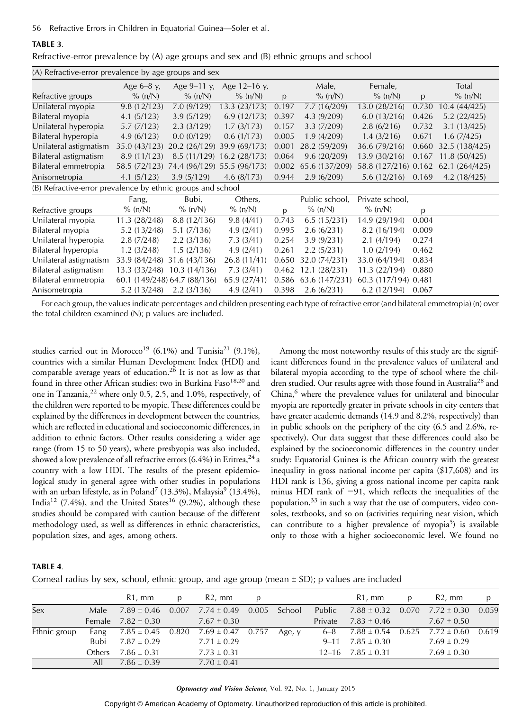56 Refractive Errors in Children in Equatorial Guinea-Soler et al.

#### TABLE 3.

|  |  |  | Refractive-error prevalence by (A) age groups and sex and (B) ethnic groups and school |
|--|--|--|----------------------------------------------------------------------------------------|
|--|--|--|----------------------------------------------------------------------------------------|

| (A) Refractive-error prevalence by age groups and sex       |               |                              |                             |       |                |                      |       |                |  |  |
|-------------------------------------------------------------|---------------|------------------------------|-----------------------------|-------|----------------|----------------------|-------|----------------|--|--|
|                                                             | Age $6-8$ y,  | Age $9-11$ v.                | Age 12-16 y,                |       | Male,          | Female,              |       | Total          |  |  |
| Refractive groups                                           | $\%$ (n/N)    | $\%$ (n/N)                   | $\%$ (n/N)                  | p     | % (n/N)        | $\%$ (n/N)           | p     | $\%$ (n/N)     |  |  |
| Unilateral myopia                                           | 9.8(12/123)   | 7.0(9/129)                   | 13.3(23/173)                | 0.197 | 7.7(16/209)    | 13.0 (28/216)        | 0.730 | 10.4 (44/425)  |  |  |
| Bilateral myopia                                            | 4.1(5/123)    | 3.9(5/129)                   | 6.9(12/173)                 | 0.397 | 4.3(9/209)     | 6.0(13/216)          | 0.426 | 5.2(22/425)    |  |  |
| Unilateral hyperopia                                        | 5.7(7/123)    | 2.3(3/129)                   | 1.7(3/173)                  | 0.157 | 3.3(7/209)     | 2.8(6/216)           | 0.732 | 3.1(13/425)    |  |  |
| Bilateral hyperopia                                         | 4.9(6/123)    | 0.0(0/129)                   | 0.6(1/173)                  | 0.005 | 1.9(4/209)     | 1.4(3/216)           | 0.671 | 1.6(7/425)     |  |  |
| Unilateral astigmatism                                      | 35.0 (43/123) |                              | 20.2 (26/129) 39.9 (69/173) | 0.001 | 28.2 (59/209)  | 36.6 (79/216)        | 0.660 | 32.5 (138/425) |  |  |
| Bilateral astigmatism                                       | 8.9(11/123)   |                              | 8.5 (11/129) 16.2 (28/173)  | 0.064 | 9.6(20/209)    | 13.9 (30/216)        | 0.167 | 11.8(50/425)   |  |  |
| Bilateral emmetropia                                        | 58.5 (72/123) | 74.4 (96/129) 55.5 (96/173)  |                             | 0.002 | 65.6 (137/209) | 58.8 (127/216) 0.162 |       | 62.1(264/425)  |  |  |
| Anisometropia                                               | 4.1(5/123)    | 3.9(5/129)                   | 4.6 $(8/173)$               | 0.944 | 2.9(6/209)     | 5.6(12/216)          | 0.169 | 4.2(18/425)    |  |  |
| (B) Refractive-error prevalence by ethnic groups and school |               |                              |                             |       |                |                      |       |                |  |  |
|                                                             | Fang,         | Bubi,                        | Others,                     |       | Public school, | Private school,      |       |                |  |  |
| Refractive groups                                           | $\%$ (n/N)    | $\%$ (n/N)                   | $\%$ (n/N)                  | p     | % (n/N)        | $\%$ (n/N)           | p     |                |  |  |
| Unilateral myopia                                           | 11.3 (28/248) | 8.8 (12/136)                 | 9.8(4/41)                   | 0.743 | 6.5(15/231)    | 14.9 (29/194)        | 0.004 |                |  |  |
| Bilateral myopia                                            | 5.2(13/248)   | 5.1(7/136)                   | 4.9(2/41)                   | 0.995 | 2.6(6/231)     | 8.2 (16/194)         | 0.009 |                |  |  |
| Unilateral hyperopia                                        | 2.8(7/248)    | 2.2(3/136)                   | 7.3(3/41)                   | 0.254 | 3.9(9/231)     | 2.1(4/194)           | 0.274 |                |  |  |
| Bilateral hyperopia                                         | 1.2(3/248)    | 1.5(2/136)                   | 4.9(2/41)                   | 0.261 | 2.2(5/231)     | 1.0(2/194)           | 0.462 |                |  |  |
| Unilateral astigmatism                                      | 33.9 (84/248) | 31.6 (43/136)                | 26.8(11/41)                 | 0.650 | 32.0 (74/231)  | 33.0 (64/194)        | 0.834 |                |  |  |
| Bilateral astigmatism                                       | 13.3 (33/248) | 10.3(14/136)                 | 7.3(3/41)                   | 0.462 | 12.1 (28/231)  | 11.3 (22/194)        | 0.880 |                |  |  |
| Bilateral emmetropia                                        |               | 60.1 (149/248) 64.7 (88/136) | 65.9 (27/41)                | 0.586 | 63.6 (147/231) | 60.3 (117/194) 0.481 |       |                |  |  |
| Anisometropia                                               | 5.2(13/248)   | 2.2(3/136)                   | 4.9 $(2/41)$                | 0.398 | 2.6(6/231)     | 6.2(12/194)          | 0.067 |                |  |  |

For each group, the values indicate percentages and children presenting each type of refractive error (and bilateral emmetropia) (n) over the total children examined (N); p values are included.

studies carried out in Morocco<sup>19</sup> (6.1%) and Tunisia<sup>21</sup> (9.1%), countries with a similar Human Development Index (HDI) and comparable average years of education.<sup>26</sup> It is not as low as that found in three other African studies: two in Burkina Faso<sup>18,20</sup> and one in Tanzania, $^{22}$  where only 0.5, 2.5, and 1.0%, respectively, of the children were reported to be myopic. These differences could be explained by the differences in development between the countries, which are reflected in educational and socioeconomic differences, in addition to ethnic factors. Other results considering a wider age range (from 15 to 50 years), where presbyopia was also included, showed a low prevalence of all refractive errors  $(6.4\%)$  in Eritrea,  $^{24}$  a country with a low HDI. The results of the present epidemiological study in general agree with other studies in populations with an urban lifestyle, as in Poland<sup>7</sup> (13.3%), Malaysia<sup>9</sup> (13.4%), India<sup>12</sup> (7.4%), and the United States<sup>16</sup> (9.2%), although these studies should be compared with caution because of the different methodology used, as well as differences in ethnic characteristics, population sizes, and ages, among others.

Among the most noteworthy results of this study are the significant differences found in the prevalence values of unilateral and bilateral myopia according to the type of school where the children studied. Our results agree with those found in Australia<sup>28</sup> and China,<sup>6</sup> where the prevalence values for unilateral and binocular myopia are reportedly greater in private schools in city centers that have greater academic demands (14.9 and 8.2%, respectively) than in public schools on the periphery of the city (6.5 and 2.6%, respectively). Our data suggest that these differences could also be explained by the socioeconomic differences in the country under study: Equatorial Guinea is the African country with the greatest inequality in gross national income per capita (\$17,608) and its HDI rank is 136, giving a gross national income per capita rank minus HDI rank of  $-91$ , which reflects the inequalities of the population,<sup>33</sup> in such a way that the use of computers, video consoles, textbooks, and so on (activities requiring near vision, which can contribute to a higher prevalence of myopia<sup>5</sup>) is available only to those with a higher socioeconomic level. We found no

## TABLE 4.

Corneal radius by sex, school, ethnic group, and age group (mean  $\pm$  SD); p values are included

|              |         | R <sub>1</sub> , mm    | p | R <sub>2</sub> , mm                   | <sup>D</sup> |        |         | R1, mm                  | p | $R2$ , mm                                          | D. |
|--------------|---------|------------------------|---|---------------------------------------|--------------|--------|---------|-------------------------|---|----------------------------------------------------|----|
| Sex          | Male    | $7.89 \pm 0.46$        |   | $0.007$ $7.74 \pm 0.49$ 0.005         |              | School |         |                         |   | Public $7.88 \pm 0.32$ 0.070 $7.72 \pm 0.30$ 0.059 |    |
|              |         | Female $7.82 \pm 0.30$ |   | $7.67 \pm 0.30$                       |              |        | Private | $7.83 \pm 0.46$         |   | $7.67 \pm 0.50$                                    |    |
| Ethnic group | Fang    |                        |   | $7.85 \pm 0.45$ 0.820 $7.69 \pm 0.47$ | 0.757        | Age, y | 6–8     |                         |   | $7.88 \pm 0.54$ 0.625 $7.72 \pm 0.60$ 0.619        |    |
|              | Bubi    | $7.87 \pm 0.29$        |   | $7.71 \pm 0.29$                       |              |        |         | $9-11$ $7.85 \pm 0.30$  |   | $7.69 \pm 0.29$                                    |    |
|              | Others. | $7.86 \pm 0.31$        |   | $7.73 \pm 0.31$                       |              |        |         | $12-16$ $7.85 \pm 0.31$ |   | $7.69 \pm 0.30$                                    |    |
|              | All     | $7.86 \pm 0.39$        |   | $7.70 \pm 0.41$                       |              |        |         |                         |   |                                                    |    |

Optometry and Vision Science, Vol. 92, No. 1, January 2015

Copyright © American Academy of Optometry. Unauthorized reproduction of this article is prohibited.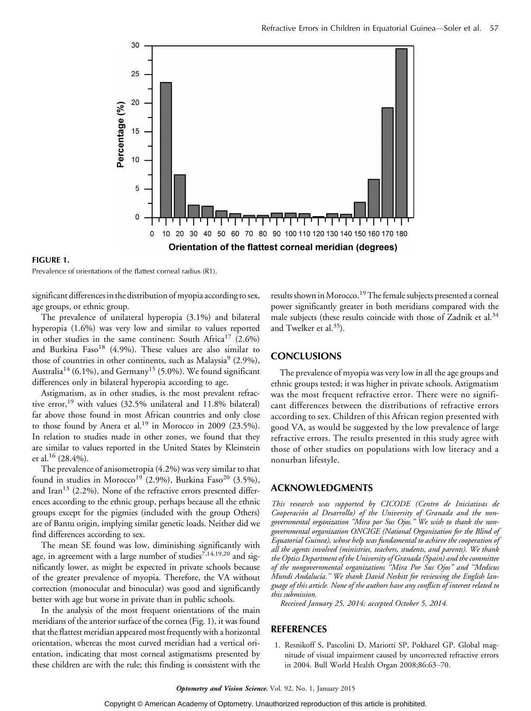

FIGURE 1.

Prevalence of orientations of the flattest corneal radius (R1).

significant differences in the distribution of myopia according to sex, age groups, or ethnic group.

The prevalence of unilateral hyperopia (3.1%) and bilateral hyperopia (1.6%) was very low and similar to values reported in other studies in the same continent: South Africa<sup>17</sup>  $(2.6\%)$ and Burkina Faso<sup>18</sup> (4.9%). These values are also similar to those of countries in other continents, such as Malaysia<sup>9</sup> (2.9%), Australia<sup>14</sup> (6.1%), and Germany<sup>15</sup> (5.0%). We found significant differences only in bilateral hyperopia according to age.

Astigmatism, as in other studies, is the most prevalent refractive error,<sup>19</sup> with values (32.5% unilateral and 11.8% bilateral) far above those found in most African countries and only close to those found by Anera et al.<sup>19</sup> in Morocco in 2009 (23.5%). In relation to studies made in other zones, we found that they are similar to values reported in the United States by Kleinstein et al.<sup>16</sup> (28.4%).

The prevalence of anisometropia (4.2%) was very similar to that found in studies in Morocco<sup>19</sup> (2.9%), Burkina Faso<sup>20</sup> (3.5%), and Iran<sup>13</sup> (2.2%). None of the refractive errors presented differences according to the ethnic group, perhaps because all the ethnic groups except for the pigmies (included with the group Others) are of Bantu origin, implying similar genetic loads. Neither did we find differences according to sex.

The mean SE found was low, diminishing significantly with age, in agreement with a large number of studies<sup>7,14,19,20</sup> and significantly lower, as might be expected in private schools because of the greater prevalence of myopia. Therefore, the VA without correction (monocular and binocular) was good and significantly better with age but worse in private than in public schools.

In the analysis of the most frequent orientations of the main meridians of the anterior surface of the cornea (Fig. 1), it was found that the flattest meridian appeared most frequently with a horizontal orientation, whereas the most curved meridian had a vertical orientation, indicating that most corneal astigmatisms presented by these children are with the rule; this finding is consistent with the results shown in Morocco.<sup>19</sup> The female subjects presented a corneal power significantly greater in both meridians compared with the male subjects (these results coincide with those of Zadnik et al. $34$ and Twelker et al. $35$ ).

## **CONCLUSIONS**

The prevalence of myopia was very low in all the age groups and ethnic groups tested; it was higher in private schools. Astigmatism was the most frequent refractive error. There were no significant differences between the distributions of refractive errors according to sex. Children of this African region presented with good VA, as would be suggested by the low prevalence of large refractive errors. The results presented in this study agree with those of other studies on populations with low literacy and a nonurban lifestyle.

## ACKNOWLEDGMENTS

This research was supported by CICODE (Centro de Iniciativas de Cooperación al Desarrollo) of the University of Granada and the nongovernmental organization ''Mira por Sus Ojos.'' We wish to thank the nongovernmental organization ONCIGE (National Organization for the Blind of Equatorial Guinea), whose help was fundamental to achieve the cooperation of all the agents involved (ministries, teachers, students, and parents). We thank the Optics Department of the University of Granada (Spain) and the committee of the nongovernmental organizations ''Mira Por Sus Ojos'' and ''Medicus Mundi Andalucía." We thank David Nesbitt for reviewing the English language of this article. None of the authors have any conflicts of interest related to this submission.

Received January 25, 2014; accepted October 5, 2014.

## REFERENCES

1. Resnikoff S, Pascolini D, Mariotti SP, Pokharel GP. Global magnitude of visual impairment caused by uncorrected refractive errors in 2004. Bull World Health Organ 2008;86:63-70.